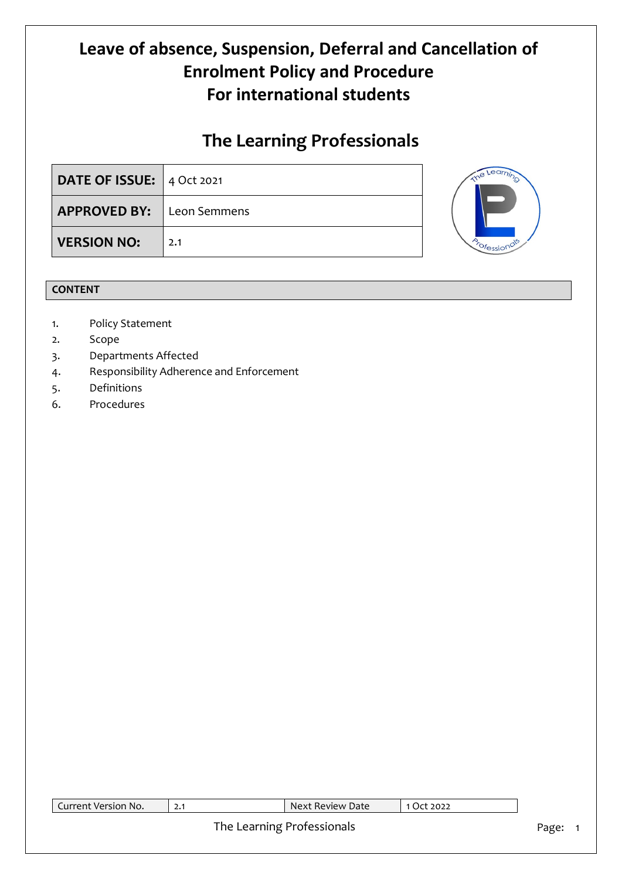### **The Learning Professionals**

| <b>DATE OF ISSUE:</b> $ $ 4 Oct 2021 |     | n e |
|--------------------------------------|-----|-----|
| <b>APPROVED BY:</b> Leon Semmens     |     |     |
| <b>VERSION NO:</b>                   | 2.1 |     |

### **CONTENT**

- 1. Policy Statement
- 2. Scope
- 3. Departments Affected
- 4. Responsibility Adherence and Enforcement
- 5. Definitions
- 6. Procedures

| Current Version No. | 2.1 | Next Review Date | 1 Oct 2022 |  |
|---------------------|-----|------------------|------------|--|
|                     |     | Page:            |            |  |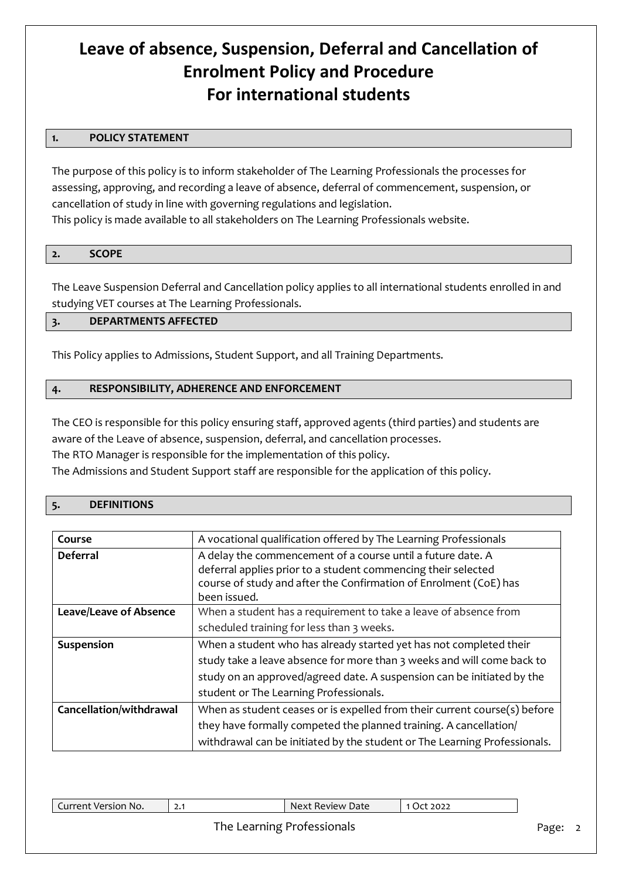### **1. POLICY STATEMENT**

The purpose of this policy is to inform stakeholder of The Learning Professionals the processes for assessing, approving, and recording a leave of absence, deferral of commencement, suspension, or cancellation of study in line with governing regulations and legislation.

This policy is made available to all stakeholders on The Learning Professionals website.

#### **2. SCOPE**

The Leave Suspension Deferral and Cancellation policy applies to all international students enrolled in and studying VET courses at The Learning Professionals.

### **3. DEPARTMENTS AFFECTED**

This Policy applies to Admissions, Student Support, and all Training Departments.

### **4. RESPONSIBILITY, ADHERENCE AND ENFORCEMENT**

The CEO is responsible for this policy ensuring staff, approved agents (third parties) and students are aware of the Leave of absence, suspension, deferral, and cancellation processes.

The RTO Manager is responsible for the implementation of this policy.

The Admissions and Student Support staff are responsible for the application of this policy.

| 5.     | <b>DEFINITIONS</b> |                                                                |
|--------|--------------------|----------------------------------------------------------------|
|        |                    |                                                                |
| Course |                    | A vocational qualification offered by The Learning Professiona |

| Course                        | A vocational qualification offered by The Learning Professionals                                                                                                                                                  |
|-------------------------------|-------------------------------------------------------------------------------------------------------------------------------------------------------------------------------------------------------------------|
| <b>Deferral</b>               | A delay the commencement of a course until a future date. A<br>deferral applies prior to a student commencing their selected<br>course of study and after the Confirmation of Enrolment (CoE) has<br>been issued. |
| <b>Leave/Leave of Absence</b> | When a student has a requirement to take a leave of absence from                                                                                                                                                  |
|                               | scheduled training for less than 3 weeks.                                                                                                                                                                         |
| Suspension                    | When a student who has already started yet has not completed their                                                                                                                                                |
|                               | study take a leave absence for more than 3 weeks and will come back to                                                                                                                                            |
|                               | study on an approved/agreed date. A suspension can be initiated by the                                                                                                                                            |
|                               | student or The Learning Professionals.                                                                                                                                                                            |
| Cancellation/withdrawal       | When as student ceases or is expelled from their current course(s) before                                                                                                                                         |
|                               | they have formally competed the planned training. A cancellation/                                                                                                                                                 |
|                               | withdrawal can be initiated by the student or The Learning Professionals.                                                                                                                                         |

### The Learning Professionals **Page: 2** Page: 2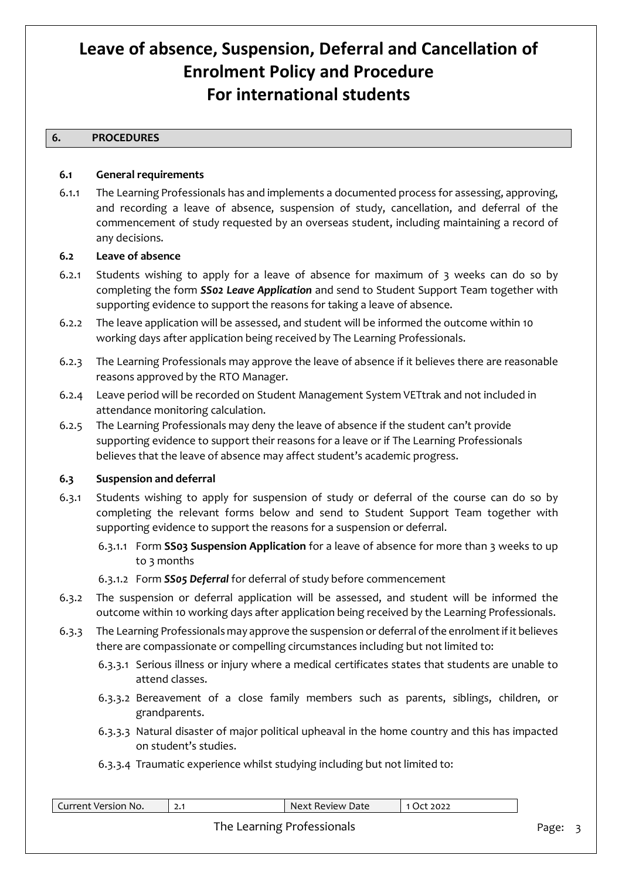#### **6. PROCEDURES**

#### **6.1 General requirements**

6.1.1 The Learning Professionals has and implements a documented process for assessing, approving, and recording a leave of absence, suspension of study, cancellation, and deferral of the commencement of study requested by an overseas student, including maintaining a record of any decisions.

#### **6.2 Leave of absence**

- 6.2.1 Students wishing to apply for a leave of absence for maximum of 3 weeks can do so by completing the form *SS02 Leave Application* and send to Student Support Team together with supporting evidence to support the reasons for taking a leave of absence.
- 6.2.2 The leave application will be assessed, and student will be informed the outcome within 10 working days after application being received by The Learning Professionals.
- 6.2.3 The Learning Professionals may approve the leave of absence if it believes there are reasonable reasons approved by the RTO Manager.
- 6.2.4 Leave period will be recorded on Student Management System VETtrak and not included in attendance monitoring calculation.
- 6.2.5 The Learning Professionals may deny the leave of absence if the student can't provide supporting evidence to support their reasons for a leave or if The Learning Professionals believes that the leave of absence may affect student's academic progress.

#### **6.3 Suspension and deferral**

- 6.3.1 Students wishing to apply for suspension of study or deferral of the course can do so by completing the relevant forms below and send to Student Support Team together with supporting evidence to support the reasons for a suspension or deferral.
	- 6.3.1.1 Form **SS03 Suspension Application** for a leave of absence for more than 3 weeks to up to 3 months
	- 6.3.1.2 Form *SS05 Deferral* for deferral of study before commencement
- 6.3.2 The suspension or deferral application will be assessed, and student will be informed the outcome within 10 working days after application being received by the Learning Professionals.
- 6.3.3 The Learning Professionals may approve the suspension or deferral ofthe enrolment if it believes there are compassionate or compelling circumstances including but not limited to:
	- 6.3.3.1 Serious illness or injury where a medical certificates states that students are unable to attend classes.
	- 6.3.3.2 Bereavement of a close family members such as parents, siblings, children, or grandparents.
	- 6.3.3.3 Natural disaster of major political upheaval in the home country and this has impacted on student's studies.
	- 6.3.3.4 Traumatic experience whilst studying including but not limited to:

| Current Version No.        |  | Next Review Date | 1 Oct 2022 |  |  |
|----------------------------|--|------------------|------------|--|--|
| The Learning Professionals |  |                  |            |  |  |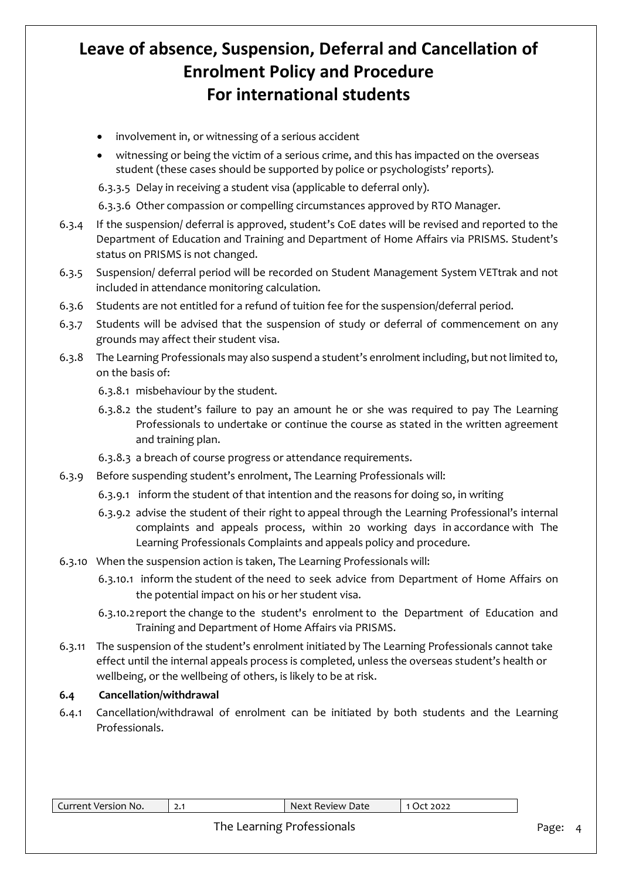- involvement in, or witnessing of a serious accident
- witnessing or being the victim of a serious crime, and this has impacted on the overseas student (these cases should be supported by police or psychologists' reports).

6.3.3.5 Delay in receiving a student visa (applicable to deferral only).

6.3.3.6 Other compassion or compelling circumstances approved by RTO Manager.

- 6.3.4 If the suspension/ deferral is approved, student's CoE dates will be revised and reported to the Department of Education and Training and Department of Home Affairs via PRISMS. Student's status on PRISMS is not changed.
- 6.3.5 Suspension/ deferral period will be recorded on Student Management System VETtrak and not included in attendance monitoring calculation.
- 6.3.6 Students are not entitled for a refund of tuition fee for the suspension/deferral period.
- 6.3.7 Students will be advised that the suspension of study or deferral of commencement on any grounds may affect their student visa.
- 6.3.8 The Learning Professionals may also suspend a student's enrolment including, but not limited to, on the basis of:
	- 6.3.8.1 misbehaviour by the student.
	- 6.3.8.2 the student's failure to pay an amount he or she was required to pay The Learning Professionals to undertake or continue the course as stated in the written agreement and training plan.
	- 6.3.8.3 a breach of course progress or attendance requirements.
- 6.3.9 Before suspending student's enrolment, The Learning Professionals will:
	- 6.3.9.1 inform the student of that intention and the reasons for doing so, in writing
	- 6.3.9.2 advise the student of their right to appeal through the Learning Professional's internal complaints and appeals process, within 20 working days in accordance with The Learning Professionals Complaints and appeals policy and procedure.
- 6.3.10 When the suspension action is taken, The Learning Professionals will:
	- 6.3.10.1 inform the student of the need to seek advice from Department of Home Affairs on the potential impact on his or her student visa.
	- 6.3.10.2report the change to the student's enrolment to the Department of Education and Training and Department of Home Affairs via PRISMS.
- 6.3.11 The suspension of the student's enrolment initiated by The Learning Professionals cannot take effect until the internal appeals process is completed, unless the overseas student's health or wellbeing, or the wellbeing of others, is likely to be at risk.

#### **6.4 Cancellation/withdrawal**

6.4.1 Cancellation/withdrawal of enrolment can be initiated by both students and the Learning Professionals.

| <b>Current</b><br>Version<br>No. | ، ، ـ | Review<br>: Date<br>$\sim$<br><b>Next</b> | 2022<br>ю |
|----------------------------------|-------|-------------------------------------------|-----------|
|                                  |       |                                           |           |

### The Learning Professionals **Page: 4** Page: 4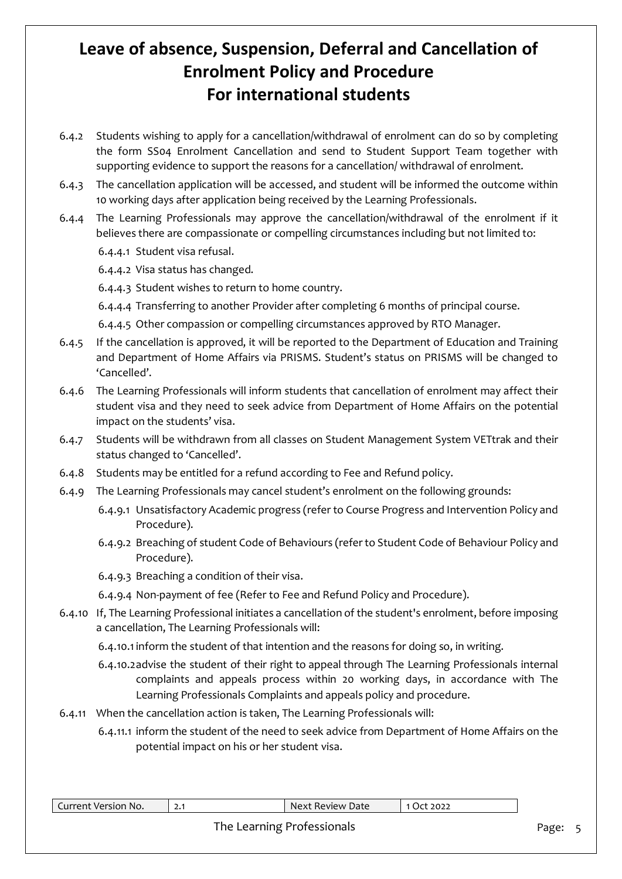- 6.4.2 Students wishing to apply for a cancellation/withdrawal of enrolment can do so by completing the form SS04 Enrolment Cancellation and send to Student Support Team together with supporting evidence to support the reasons for a cancellation/ withdrawal of enrolment.
- 6.4.3 The cancellation application will be accessed, and student will be informed the outcome within 10 working days after application being received by the Learning Professionals.
- 6.4.4 The Learning Professionals may approve the cancellation/withdrawal of the enrolment if it believes there are compassionate or compelling circumstances including but not limited to:
	- 6.4.4.1 Student visa refusal.
	- 6.4.4.2 Visa status has changed.
	- 6.4.4.3 Student wishes to return to home country.
	- 6.4.4.4 Transferring to another Provider after completing 6 months of principal course.
	- 6.4.4.5 Other compassion or compelling circumstances approved by RTO Manager.
- 6.4.5 If the cancellation is approved, it will be reported to the Department of Education and Training and Department of Home Affairs via PRISMS. Student's status on PRISMS will be changed to 'Cancelled'.
- 6.4.6 The Learning Professionals will inform students that cancellation of enrolment may affect their student visa and they need to seek advice from Department of Home Affairs on the potential impact on the students' visa.
- 6.4.7 Students will be withdrawn from all classes on Student Management System VETtrak and their status changed to 'Cancelled'.
- 6.4.8 Students may be entitled for a refund according to Fee and Refund policy.
- 6.4.9 The Learning Professionals may cancel student's enrolment on the following grounds:
	- 6.4.9.1 Unsatisfactory Academic progress (refer to Course Progress and Intervention Policy and Procedure).
	- 6.4.9.2 Breaching of student Code of Behaviours (refer to Student Code of Behaviour Policy and Procedure).
	- 6.4.9.3 Breaching a condition of their visa.
	- 6.4.9.4 Non-payment of fee (Refer to Fee and Refund Policy and Procedure).
- 6.4.10 If, The Learning Professional initiates a cancellation of the student's enrolment, before imposing a cancellation, The Learning Professionals will:
	- 6.4.10.1inform the student of that intention and the reasons for doing so, in writing.
	- 6.4.10.2advise the student of their right to appeal through The Learning Professionals internal complaints and appeals process within 20 working days, in accordance with The Learning Professionals Complaints and appeals policy and procedure.
- 6.4.11 When the cancellation action is taken, The Learning Professionals will:
	- 6.4.11.1 inform the student of the need to seek advice from Department of Home Affairs on the potential impact on his or her student visa.

| Current Version No. | Next Review Date | 2022<br>) ct |  |
|---------------------|------------------|--------------|--|
|                     |                  |              |  |